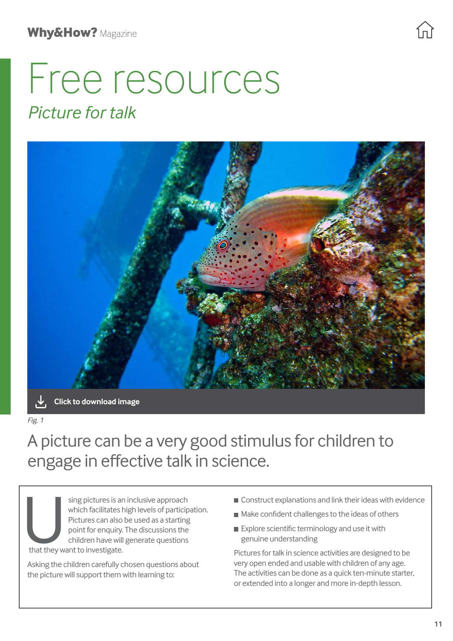# Free resources *Picture for talk*



**[Click to download image](https://pstt.org.uk/application/files/5816/4389/0889/Village_of_Igloos.jpg)**

*Fig. 1*

# A picture can be a very good stimulus for children to engage in effective talk in science.

sing pictures is an inclusive approach<br>which facilitates high levels of particip<br>Pictures can also be used as a starting<br>point for enquiry. The discussions the<br>children have will generate questions<br>that they want to invest which facilitates high levels of participation. Pictures can also be used as a starting point for enquiry. The discussions the children have will generate questions that they want to investigate.

Asking the children carefully chosen questions about the picture will support them with learning to:

- **Construct explanations and link their ideas with evidence**
- Make confident challenges to the ideas of others
- Explore scientific terminology and use it with genuine understanding

Pictures for talk in science activities are designed to be very open ended and usable with children of any age. The activities can be done as a quick ten-minute starter, or extended into a longer and more in-depth lesson.